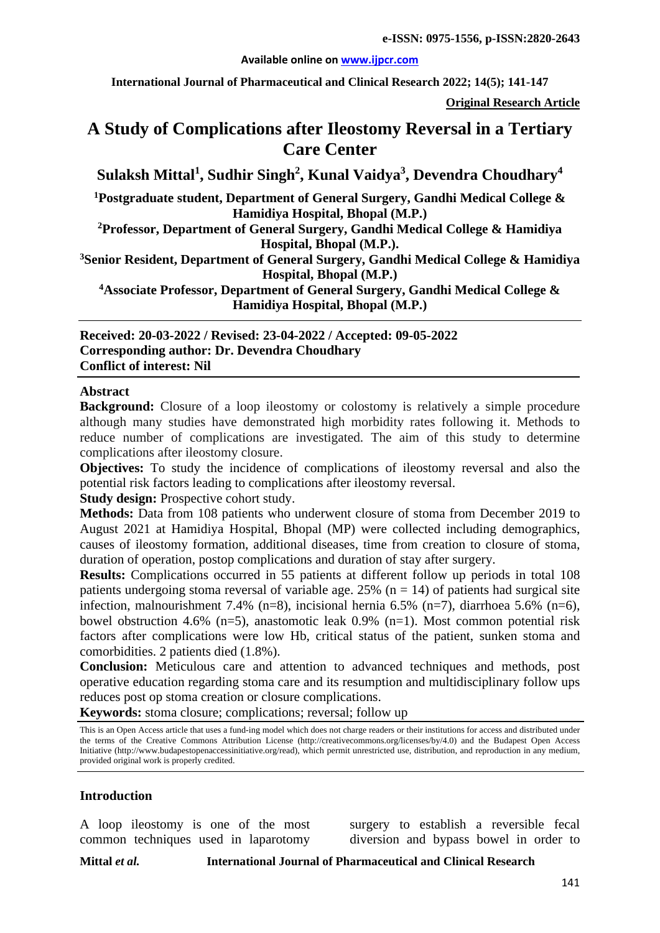#### **Available online on [www.ijpcr.com](http://www.ijpcr.com/)**

**International Journal of Pharmaceutical and Clinical Research 2022; 14(5); 141-147**

**Original Research Article**

# **A Study of Complications after Ileostomy Reversal in a Tertiary Care Center**

 $\boldsymbol{\mathrm{Sulaksh\;Mittal}}^{1},$   $\boldsymbol{\mathrm{Sudhir\;Singh}}^{2},$   $\boldsymbol{\mathrm{Kunal\;Vaidya}}^{3},$   $\boldsymbol{\mathrm{Devendra\;Choudhary}}^{4}$ 

**1 Postgraduate student, Department of General Surgery, Gandhi Medical College & Hamidiya Hospital, Bhopal (M.P.)**

**2 Professor, Department of General Surgery, Gandhi Medical College & Hamidiya Hospital, Bhopal (M.P.).**

**3 Senior Resident, Department of General Surgery, Gandhi Medical College & Hamidiya Hospital, Bhopal (M.P.)**

**4 Associate Professor, Department of General Surgery, Gandhi Medical College & Hamidiya Hospital, Bhopal (M.P.)**

**Received: 20-03-2022 / Revised: 23-04-2022 / Accepted: 09-05-2022 Corresponding author: Dr. Devendra Choudhary Conflict of interest: Nil**

#### **Abstract**

**Background:** Closure of a loop ileostomy or colostomy is relatively a simple procedure although many studies have demonstrated high morbidity rates following it. Methods to reduce number of complications are investigated. The aim of this study to determine complications after ileostomy closure.

**Objectives:** To study the incidence of complications of ileostomy reversal and also the potential risk factors leading to complications after ileostomy reversal.

**Study design:** Prospective cohort study.

**Methods:** Data from 108 patients who underwent closure of stoma from December 2019 to August 2021 at Hamidiya Hospital, Bhopal (MP) were collected including demographics, causes of ileostomy formation, additional diseases, time from creation to closure of stoma, duration of operation, postop complications and duration of stay after surgery.

**Results:** Complications occurred in 55 patients at different follow up periods in total 108 patients undergoing stoma reversal of variable age. 25% ( $n = 14$ ) of patients had surgical site infection, malnourishment 7.4% (n=8), incisional hernia 6.5% (n=7), diarrhoea 5.6% (n=6), bowel obstruction 4.6% (n=5), anastomotic leak 0.9% (n=1). Most common potential risk factors after complications were low Hb, critical status of the patient, sunken stoma and comorbidities. 2 patients died (1.8%).

**Conclusion:** Meticulous care and attention to advanced techniques and methods, post operative education regarding stoma care and its resumption and multidisciplinary follow ups reduces post op stoma creation or closure complications.

**Keywords:** stoma closure; complications; reversal; follow up

This is an Open Access article that uses a fund-ing model which does not charge readers or their institutions for access and distributed under the terms of the Creative Commons Attribution License (http://creativecommons.org/licenses/by/4.0) and the Budapest Open Access Initiative (http://www.budapestopenaccessinitiative.org/read), which permit unrestricted use, distribution, and reproduction in any medium, provided original work is properly credited.

#### **Introduction**

A loop ileostomy is one of the most common techniques used in laparotomy

surgery to establish a reversible fecal diversion and bypass bowel in order to

**Mittal** *et al.* **International Journal of Pharmaceutical and Clinical Research**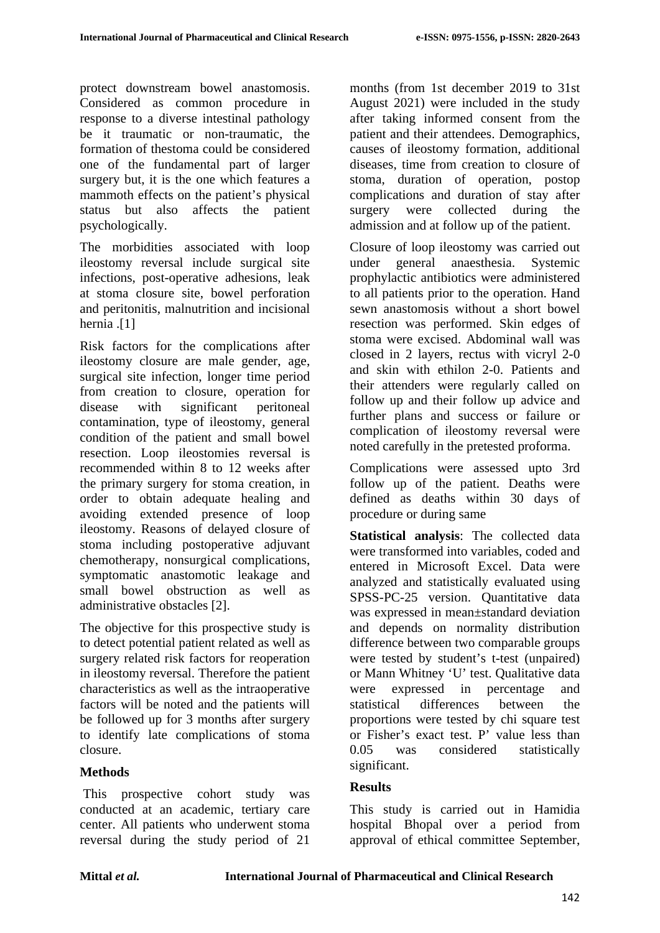protect downstream bowel anastomosis. Considered as common procedure in response to a diverse intestinal pathology be it traumatic or non-traumatic, the formation of thestoma could be considered one of the fundamental part of larger surgery but, it is the one which features a mammoth effects on the patient's physical status but also affects the patient psychologically.

The morbidities associated with loop ileostomy reversal include surgical site infections, post-operative adhesions, leak at stoma closure site, bowel perforation and peritonitis, malnutrition and incisional hernia .[1]

Risk factors for the complications after ileostomy closure are male gender, age, surgical site infection, longer time period from creation to closure, operation for disease with significant peritoneal contamination, type of ileostomy, general condition of the patient and small bowel resection. Loop ileostomies reversal is recommended within 8 to 12 weeks after the primary surgery for stoma creation, in order to obtain adequate healing and avoiding extended presence of loop ileostomy. Reasons of delayed closure of stoma including postoperative adjuvant chemotherapy, nonsurgical complications, symptomatic anastomotic leakage and small bowel obstruction as well as administrative obstacles [2].

The objective for this prospective study is to detect potential patient related as well as surgery related risk factors for reoperation in ileostomy reversal. Therefore the patient characteristics as well as the intraoperative factors will be noted and the patients will be followed up for 3 months after surgery to identify late complications of stoma closure.

# **Methods**

This prospective cohort study was conducted at an academic, tertiary care center. All patients who underwent stoma reversal during the study period of 21

months (from 1st december 2019 to 31st August 2021) were included in the study after taking informed consent from the patient and their attendees. Demographics, causes of ileostomy formation, additional diseases, time from creation to closure of stoma, duration of operation, postop complications and duration of stay after surgery were collected during the admission and at follow up of the patient.

Closure of loop ileostomy was carried out under general anaesthesia. Systemic prophylactic antibiotics were administered to all patients prior to the operation. Hand sewn anastomosis without a short bowel resection was performed. Skin edges of stoma were excised. Abdominal wall was closed in 2 layers, rectus with vicryl 2-0 and skin with ethilon 2-0. Patients and their attenders were regularly called on follow up and their follow up advice and further plans and success or failure or complication of ileostomy reversal were noted carefully in the pretested proforma.

Complications were assessed upto 3rd follow up of the patient. Deaths were defined as deaths within 30 days of procedure or during same

**Statistical analysis**: The collected data were transformed into variables, coded and entered in Microsoft Excel. Data were analyzed and statistically evaluated using SPSS-PC-25 version. Quantitative data was expressed in mean±standard deviation and depends on normality distribution difference between two comparable groups were tested by student's t-test (unpaired) or Mann Whitney 'U' test. Qualitative data were expressed in percentage and statistical differences between the proportions were tested by chi square test or Fisher's exact test. P' value less than 0.05 was considered statistically significant.

# **Results**

This study is carried out in Hamidia hospital Bhopal over a period from approval of ethical committee September,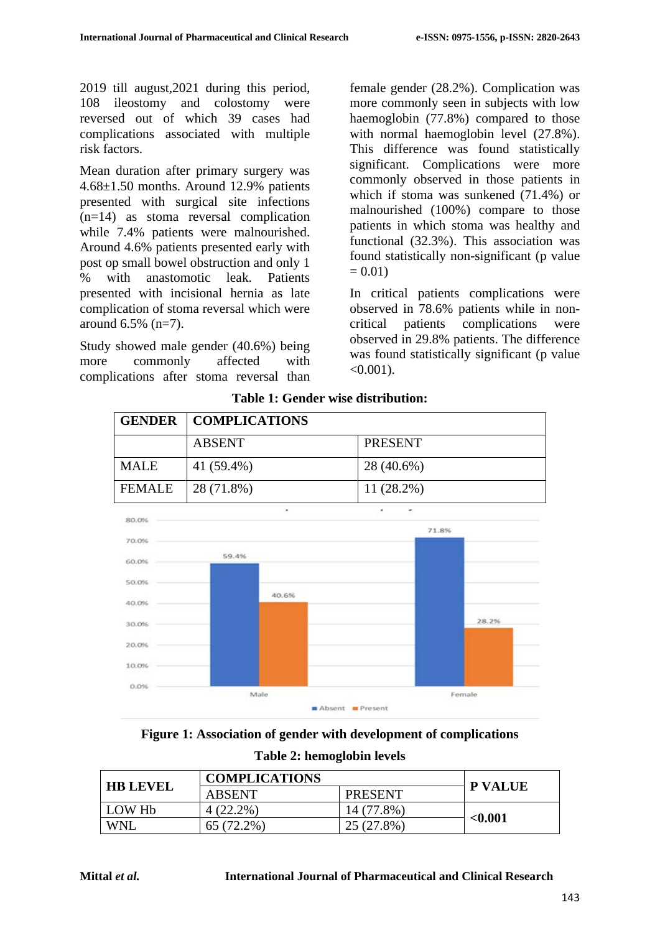2019 till august,2021 during this period, 108 ileostomy and colostomy were reversed out of which 39 cases had complications associated with multiple risk factors.

Mean duration after primary surgery was 4.68±1.50 months. Around 12.9% patients presented with surgical site infections (n=14) as stoma reversal complication while 7.4% patients were malnourished. Around 4.6% patients presented early with post op small bowel obstruction and only 1 % with anastomotic leak. Patients presented with incisional hernia as late complication of stoma reversal which were around 6.5% (n=7).

Study showed male gender (40.6%) being more commonly affected with complications after stoma reversal than female gender (28.2%). Complication was more commonly seen in subjects with low haemoglobin (77.8%) compared to those with normal haemoglobin level (27.8%). This difference was found statistically significant. Complications were more commonly observed in those patients in which if stoma was sunkened (71.4%) or malnourished (100%) compare to those patients in which stoma was healthy and functional (32.3%). This association was found statistically non-significant (p value  $= 0.01$ 

In critical patients complications were observed in 78.6% patients while in noncritical patients complications were observed in 29.8% patients. The difference was found statistically significant (p value  $< 0.001$ ).



### **Table 1: Gender wise distribution:**

**Figure 1: Association of gender with development of complications Table 2: hemoglobin levels**

| <b>HB LEVEL</b>    | <b>COMPLICATIONS</b> |                | <b>P VALUE</b> |
|--------------------|----------------------|----------------|----------------|
|                    | <b>ABSENT</b>        | <b>PRESENT</b> |                |
| LOW H <sub>b</sub> | $4(22.2\%)$          | 14 (77.8%)     |                |
| <b>WNL</b>         | $65(72.2\%)$         | 25 (27.8%)     | < 0.001        |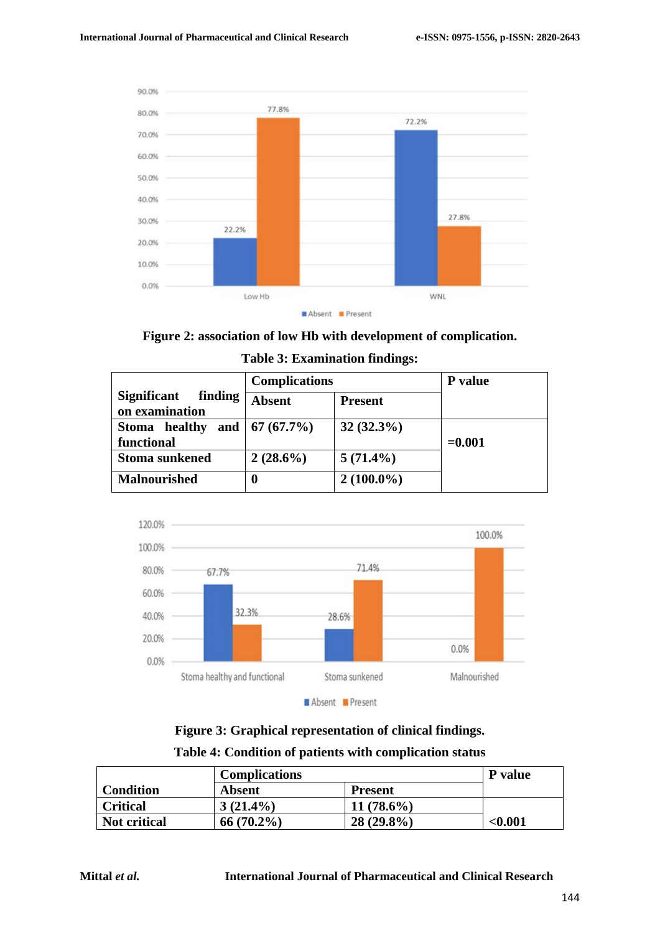

Absent Present

#### **Figure 2: association of low Hb with development of complication.**

|                                                 | <b>Complications</b> |                | P value  |
|-------------------------------------------------|----------------------|----------------|----------|
| finding<br><b>Significant</b><br>on examination | <b>Absent</b>        | <b>Present</b> |          |
| Stoma healthy<br>functional                     | and   $67 (67.7%)$   | $32(32.3\%)$   | $=0.001$ |
| <b>Stoma sunkened</b>                           | $2(28.6\%)$          | $5(71.4\%)$    |          |
| <b>Malnourished</b>                             | $\bf{0}$             | $2(100.0\%)$   |          |

#### **Table 3: Examination findings:**



**Figure 3: Graphical representation of clinical findings.**

|  | Table 4: Condition of patients with complication status |  |
|--|---------------------------------------------------------|--|
|  |                                                         |  |

|              | <b>Complications</b> |                | P value |
|--------------|----------------------|----------------|---------|
| Condition    | Absent               | <b>Present</b> |         |
| Critical     | $3(21.4\%)$          | $11(78.6\%)$   |         |
| Not critical | $66(70.2\%)$         | $28(29.8\%)$   | < 0.001 |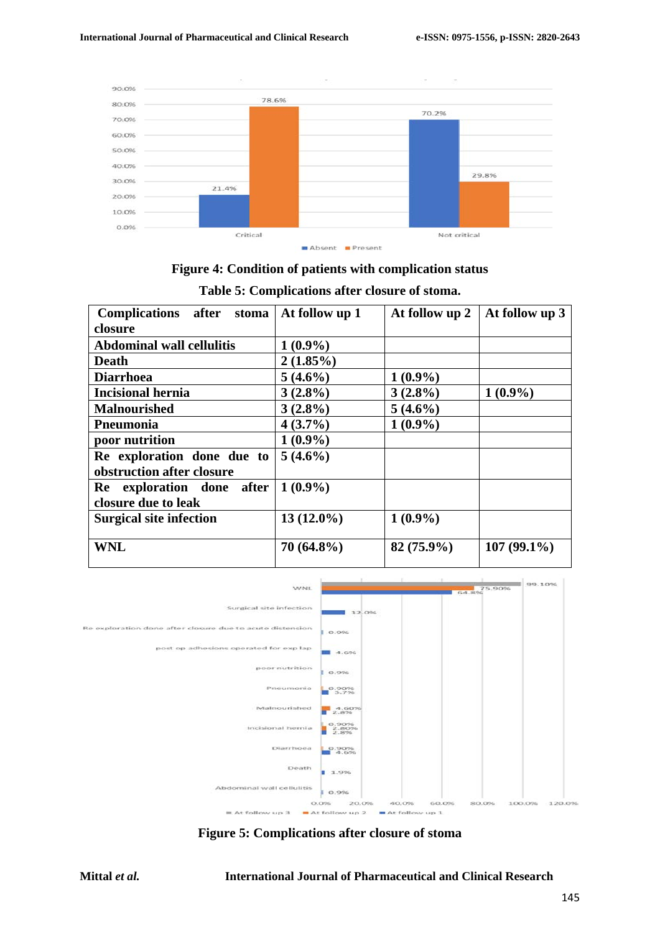

# **Figure 4: Condition of patients with complication status Table 5: Complications after closure of stoma.**

| Complications after stoma                               | At follow up 1 | At follow up 2 | At follow up 3 |
|---------------------------------------------------------|----------------|----------------|----------------|
| closure                                                 |                |                |                |
| <b>Abdominal wall cellulitis</b>                        | $1(0.9\%)$     |                |                |
| <b>Death</b>                                            | $2(1.85\%)$    |                |                |
| <b>Diarrhoea</b>                                        | $5(4.6\%)$     | $1(0.9\%)$     |                |
| <b>Incisional hernia</b>                                | $3(2.8\%)$     | $3(2.8\%)$     | $1(0.9\%)$     |
| <b>Malnourished</b>                                     | $3(2.8\%)$     | $5(4.6\%)$     |                |
| Pneumonia                                               | $4(3.7\%)$     | $1(0.9\%)$     |                |
| poor nutrition                                          | $1(0.9\%)$     |                |                |
| Re exploration done due to<br>obstruction after closure | $5(4.6\%)$     |                |                |
| Re exploration done<br>after<br>closure due to leak     | $1(0.9\%)$     |                |                |
| <b>Surgical site infection</b>                          | $13(12.0\%)$   | $1(0.9\%)$     |                |
| <b>WNL</b>                                              | $70(64.8\%)$   | $82(75.9\%)$   | $107(99.1\%)$  |



**Figure 5: Complications after closure of stoma**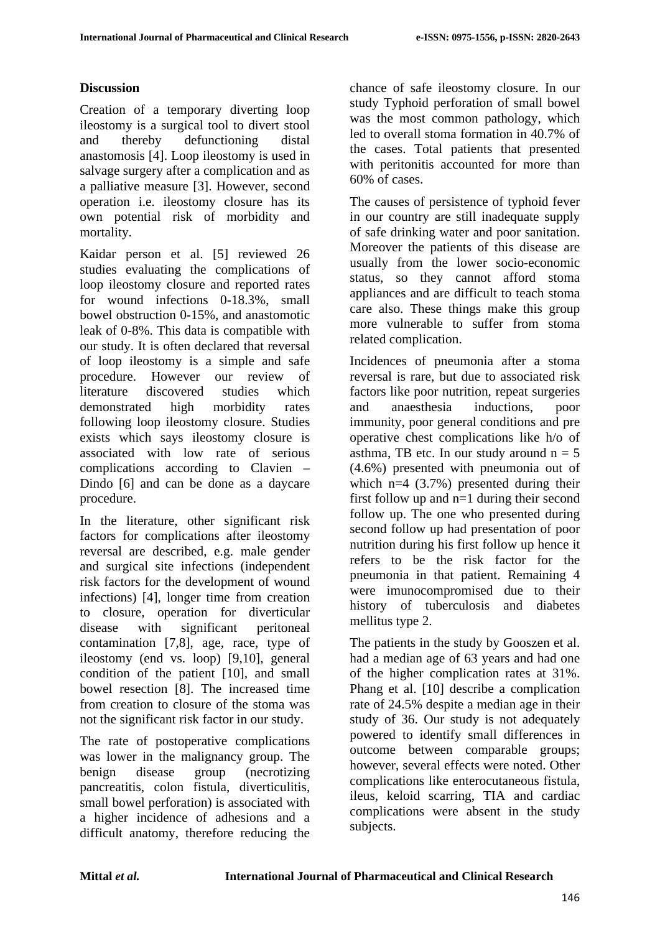# **Discussion**

Creation of a temporary diverting loop ileostomy is a surgical tool to divert stool and thereby defunctioning distal anastomosis [4]. Loop ileostomy is used in salvage surgery after a complication and as a palliative measure [3]. However, second operation i.e. ileostomy closure has its own potential risk of morbidity and mortality.

Kaidar person et al. [5] reviewed 26 studies evaluating the complications of loop ileostomy closure and reported rates for wound infections 0-18.3%, small bowel obstruction 0-15%, and anastomotic leak of 0-8%. This data is compatible with our study. It is often declared that reversal of loop ileostomy is a simple and safe procedure. However our review of literature discovered studies which demonstrated high morbidity rates following loop ileostomy closure. Studies exists which says ileostomy closure is associated with low rate of serious complications according to Clavien – Dindo [6] and can be done as a daycare procedure.

In the literature, other significant risk factors for complications after ileostomy reversal are described, e.g. male gender and surgical site infections (independent risk factors for the development of wound infections) [4], longer time from creation to closure, operation for diverticular disease with significant peritoneal contamination [7,8], age, race, type of ileostomy (end vs. loop) [9,10], general condition of the patient [10], and small bowel resection [8]. The increased time from creation to closure of the stoma was not the significant risk factor in our study.

The rate of postoperative complications was lower in the malignancy group. The benign disease group (necrotizing pancreatitis, colon fistula, diverticulitis, small bowel perforation) is associated with a higher incidence of adhesions and a difficult anatomy, therefore reducing the

chance of safe ileostomy closure. In our study Typhoid perforation of small bowel was the most common pathology, which led to overall stoma formation in 40.7% of the cases. Total patients that presented with peritonitis accounted for more than 60% of cases.

The causes of persistence of typhoid fever in our country are still inadequate supply of safe drinking water and poor sanitation. Moreover the patients of this disease are usually from the lower socio-economic status, so they cannot afford stoma appliances and are difficult to teach stoma care also. These things make this group more vulnerable to suffer from stoma related complication.

Incidences of pneumonia after a stoma reversal is rare, but due to associated risk factors like poor nutrition, repeat surgeries and anaesthesia inductions, poor immunity, poor general conditions and pre operative chest complications like h/o of asthma, TB etc. In our study around  $n = 5$ (4.6%) presented with pneumonia out of which  $n=4$  (3.7%) presented during their first follow up and n=1 during their second follow up. The one who presented during second follow up had presentation of poor nutrition during his first follow up hence it refers to be the risk factor for the pneumonia in that patient. Remaining 4 were imunocompromised due to their history of tuberculosis and diabetes mellitus type 2.

The patients in the study by Gooszen et al. had a median age of 63 years and had one of the higher complication rates at 31%. Phang et al. [10] describe a complication rate of 24.5% despite a median age in their study of 36. Our study is not adequately powered to identify small differences in outcome between comparable groups; however, several effects were noted. Other complications like enterocutaneous fistula, ileus, keloid scarring, TIA and cardiac complications were absent in the study subjects.